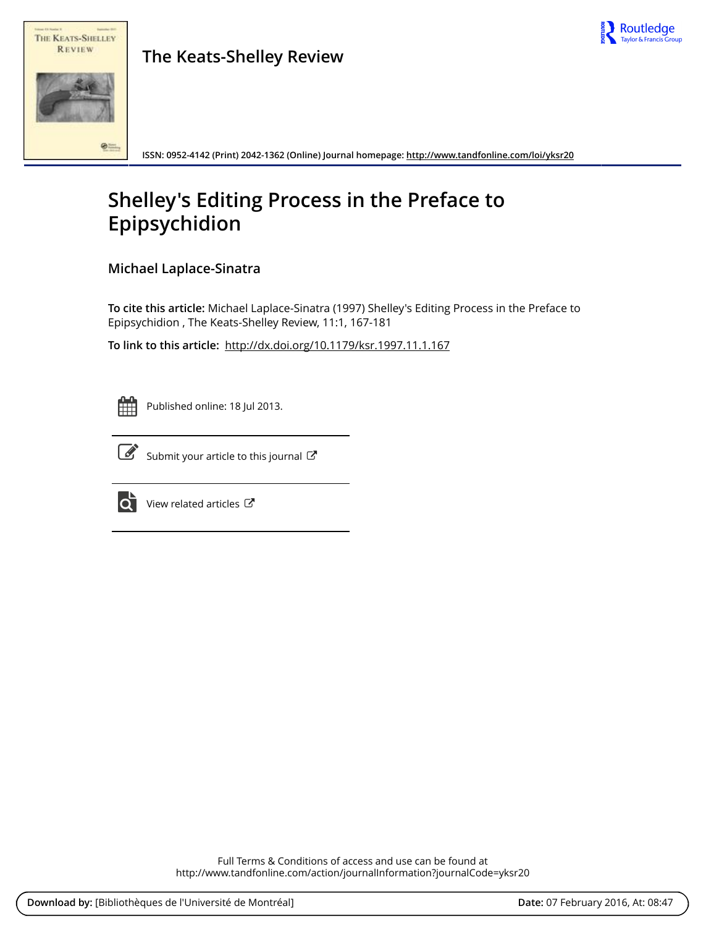



**The Keats-Shelley Review**

**ISSN: 0952-4142 (Print) 2042-1362 (Online) Journal homepage:<http://www.tandfonline.com/loi/yksr20>**

## **Shelley's Editing Process in the Preface to Epipsychidion**

**Michael Laplace-Sinatra**

**To cite this article:** Michael Laplace-Sinatra (1997) Shelley's Editing Process in the Preface to Epipsychidion , The Keats-Shelley Review, 11:1, 167-181

**To link to this article:** <http://dx.doi.org/10.1179/ksr.1997.11.1.167>



Published online: 18 Jul 2013.



 $\overrightarrow{S}$  [Submit your article to this journal](http://www.tandfonline.com/action/authorSubmission?journalCode=yksr20&page=instructions)  $\overrightarrow{S}$ 



 $\overrightarrow{Q}$  [View related articles](http://www.tandfonline.com/doi/mlt/10.1179/ksr.1997.11.1.167)  $\overrightarrow{C}$ 

Full Terms & Conditions of access and use can be found at <http://www.tandfonline.com/action/journalInformation?journalCode=yksr20>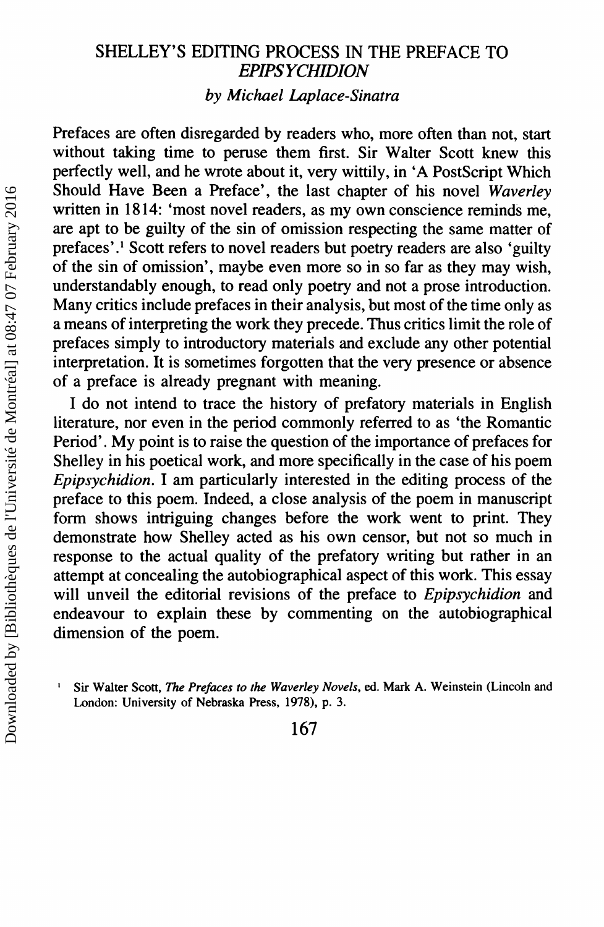## SHELLEY'S EDITING PROCESS IN THE PREFACE TO *EPIPSYCHIDION by Michael Laplace-Sinatra*

Prefaces are often disregarded by readers who, more often than not, start without taking time to peruse them first. Sir Walter Scott knew this perfectly well, and he wrote about it, very wittily, in 'A PostScript Which Should Have Been a Preface', the last chapter of his novel *Waverley* written in 1814: 'most novel readers, as my own conscience reminds me, are apt to be guilty of the sin of omission respecting the same matter of prefaces'.<sup>1</sup> Scott refers to novel readers but poetry readers are also 'guilty of the sin of omission', maybe even more so in so far as they may wish, understandably enough, to read only poetry and not a prose introduction. Many critics include prefaces in their analysis, but most of the time only as a means of interpreting the work they precede. Thus critics limit the role of prefaces simply to introductory materials and exclude any other potential interpretation. It is sometimes forgotten that the very presence or absence of a preface is already pregnant with meaning.

I do not intend to trace the history of prefatory materials in English literature, nor even in the period commonly referred to as 'the Romantic Period'. My point is to raise the question of the importance of prefaces for Shelley in his poetical work, and more specifically in the case of his poem *Epipsychidion.* I am particularly interested in the editing process of the preface to this poem. Indeed, a close analysis of the poem in manuscript form shows intriguing changes before the work went to print. They demonstrate how Shelley acted as his own censor, but not so much in response to the actual quality of the prefatory writing but rather in an attempt at concealing the autobiographical aspect of this work. This essay will unveil the editorial revisions of the preface to *Epipsychidion* and endeavour to explain these by commenting on the autobiographical dimension of the poem.

167

Sir Walter Scott, *The Prefaces to the Waverley Novels*, ed. Mark A. Weinstein (Lincoln and London: University of Nebraska Press, 1978), p. 3.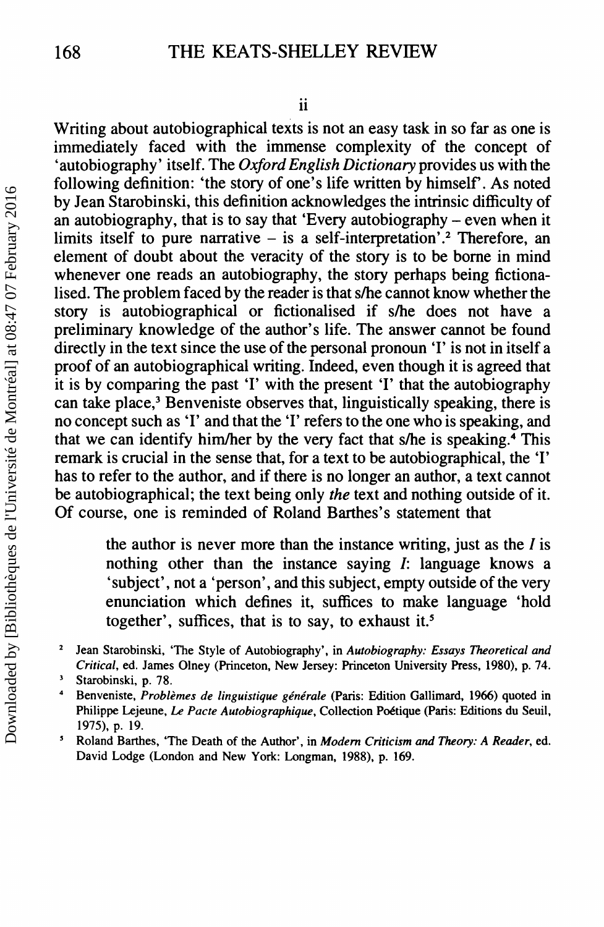Writing about autobiographical texts is not an easy task in so far as one is immediately faced with the immense complexity of the concept of 'autobiography' itself. The *Oxford English Dictionary* provides us with the following definition: 'the story of one's life written by himself. As noted by Jean Starobinski, this definition acknowledges the intrinsic difficulty of an autobiography, that is to say that 'Every autobiography - even when it limits itself to pure narrative  $-$  is a self-interpretation'.<sup>2</sup> Therefore, an element of doubt about the veracity of the story is to be borne in mind whenever one reads an autobiography, the story perhaps being fictionalised. The problem faced by the reader is that s/he cannot know whether the story is autobiographical or fictionalised if s/he does not have a preliminary knowledge of the author's life. The answer cannot be found directly in the text since the use of the personal pronoun 'I' is not in itself a proof of an autobiographical writing. Indeed, even though it is agreed that it is by comparing the past 'I' with the present 'I' that the autobiography can take place,<sup>3</sup> Benveniste observes that, linguistically speaking, there is no concept such as 'I' and that the 'I' refers to the one who is speaking, and that we can identify him/her by the very fact that s/he is speaking.<sup>4</sup> This remark is crucial in the sense that, for a text to be autobiographical, the 'I' has to refer to the author, and if there is no longer an author, a text cannot be autobiographical; the text being only *the* text and nothing outside of it. Of course, one is reminded of Roland Barthes's statement that

> the author is never more than the instance writing, just as the *I* is nothing other than the instance saying *I:* language knows a 'subject', not a 'person', and this subject, empty outside of the very enunciation which defines it, suffices to make language 'hold together', suffices, that is to say, to exhaust it. $5$

- <sup>2</sup> Jean Starobinski, 'The Style of Autobiography', in *Autobiography: Essays Theoretical and Critical,* ed. James Olney (Princeton, New Jersey: Princeton University Press, 1980), p. 74.
- <sup>3</sup> Starobinski, p. 78.
- <sup>4</sup> Benveniste, *Problemes de linguistique generale* (Paris: Edition Gallimard, 1966) quoted in Philippe Lejeune, *Le Pacte Autobiographique,* Collection Poetique (Paris: Editions du Seuil, 1975), p. 19.
- ~ Roland Barthes, 'The Death of the Author', in *Modem Criticism and Theory: A Reader,* ed. David Lodge (London and New York: Longman, 1988), p. 169.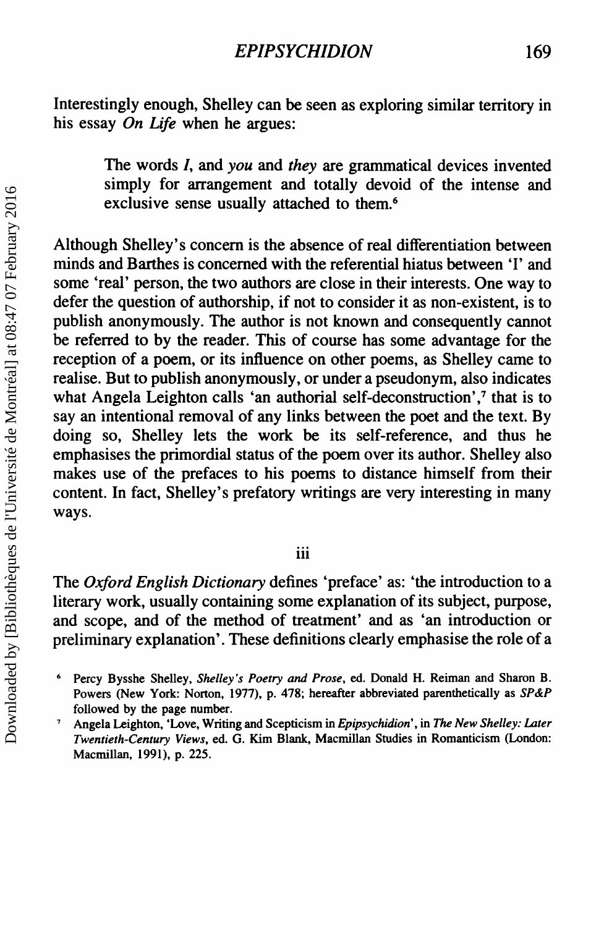Interestingly enough, Shelley can be seen as exploring similar territory in his essay *On Life* when he argues:

> The words I, and *you* and *they* are grammatical devices invented simply for arrangement and totally devoid of the intense and exclusive sense usually attached to them.<sup>6</sup>

Although Shelley's concern is the absence of real differentiation between minds and Barthes is concerned with the referential hiatus between 'I' and some 'real' person, the two authors are close in their interests. One way to defer the question of authorship, if not to consider it as non-existent, is to publish anonymously. The author is not known and consequently cannot be referred to by the reader. This of course has some advantage for the reception of a poem, or its influence on other poems, as Shelley came to realise. But to publish anonymously, or under a pseudonym, also indicates what Angela Leighton calls 'an authorial self-deconstruction',<sup>7</sup> that is to sayan intentional removal of any links between the poet and the text. By doing so, Shelley lets the work be its self-reference, and thus he emphasises the primordial status of the poem over its author. Shelley also makes use of the prefaces to his poems to distance himself from their content. In fact, Shelley's prefatory writings are very interesting in many ways.

## iii

The *Oxford English Dictionary* defines 'preface' as: 'the introduction to a literary work, usually containing some explanation of its subject, purpose, and scope, and of the method of treatment' and as 'an introduction or preliminary explanation'. These definitions clearly emphasise the role of a

<sup>6</sup> Percy Bysshe Shelley, *Shelley's Poetry and Prose,* ed. Donald H. Reiman and Sharon B. Powers (New York: Norton, 1977), p. 478; hereafter abbreviated parenthetically as *SP&P* followed by the page number.

<sup>7</sup> Angela Leighton, 'Love, Writing and Scepticism in *Epipsychidion' ,* in *The New Shelley: Later Twentieth-Century Views,* ed. G. Kim Blank, Macmillan Studies in Romanticism (London: Macmillan, 1991), p. 225.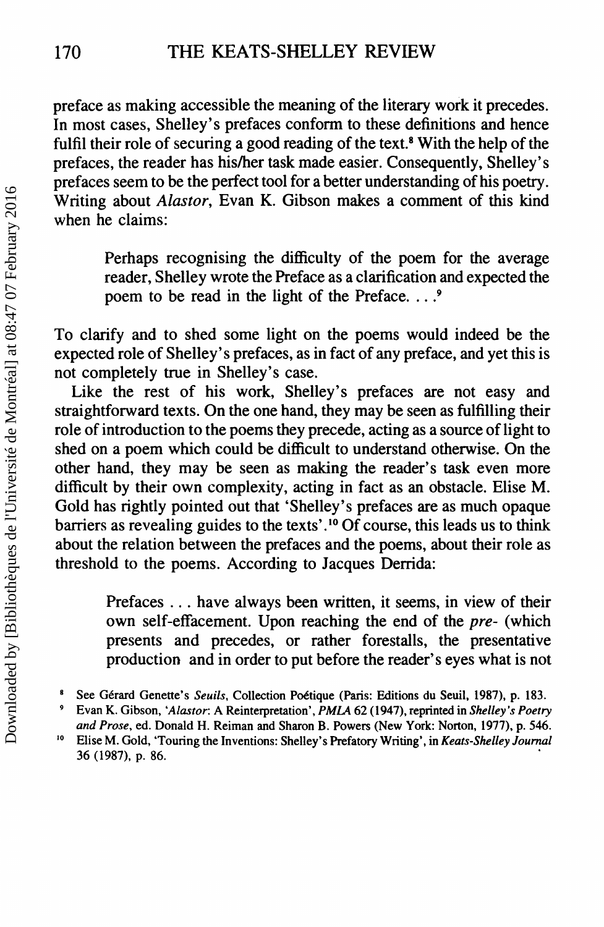preface as making accessible the meaning of the literary work it precedes. In most cases, Shelley's prefaces conform to these definitions and hence fulfil their role of securing a good reading of the text.<sup>8</sup> With the help of the prefaces, the reader has his/her task made easier. Consequently, Shelley's prefaces seem to be the perfect tool for a better understanding of his poetry. Writing about *Alastor,* Evan K. Gibson makes a comment of this kind when he claims:

> Perhaps recognising the difficulty of the poem for the average reader, Shelley wrote the Preface as a clarification and expected the poem to be read in the light of the Preface. . .. <sup>9</sup>

To clarify and to shed some light on the poems would indeed be the expected role of Shelley's prefaces, as in fact of any preface, and yet this is not completely true in Shelley's case.

Like the rest of his work, Shelley's prefaces are not easy and straightforward texts. On the one hand, they may be seen as fulfilling their role of introduction to the poems they precede, acting as a source of light to shed on a poem which could be difficult to understand otherwise. On the other hand, they may be seen as making the reader's task even more difficult by their own complexity, acting in fact as an obstacle. Elise M. Gold has rightly pointed out that 'Shelley's prefaces are as much opaque barriers as revealing guides to the texts' .<sup>10</sup> Of course, this leads us to think about the relation between the prefaces and the poems, about their role as threshold to the poems. According to Jacques Derrida:

> Prefaces ... have always been written, it seems, in view of their own self-effacement. Upon reaching the end of the *pre-* (which presents and precedes, or rather forestalls, the presentative production and in order to put before the reader's eyes what is not

<sup>8</sup> See Gerard Genette's *Seuils,* Collection Poetique (Paris: Editions du Seuil, 1987), p. 183.

<sup>9</sup> Evan K. Gibson, *'Alastor:* A Reinterpretation', *PMLA* 62 (1947), reprinted in *Shelley's Poetry*

*and Prose,* ed. Donald H. Reiman and Sharon B. Powers (New York: Norton, 1977), p. 546. <sup>10</sup> Elise M. Gold, 'Touring the Inventions: Shelley's Prefatory Writing', in *Keats-Shelley Journal* 36 (1987), p. 86. .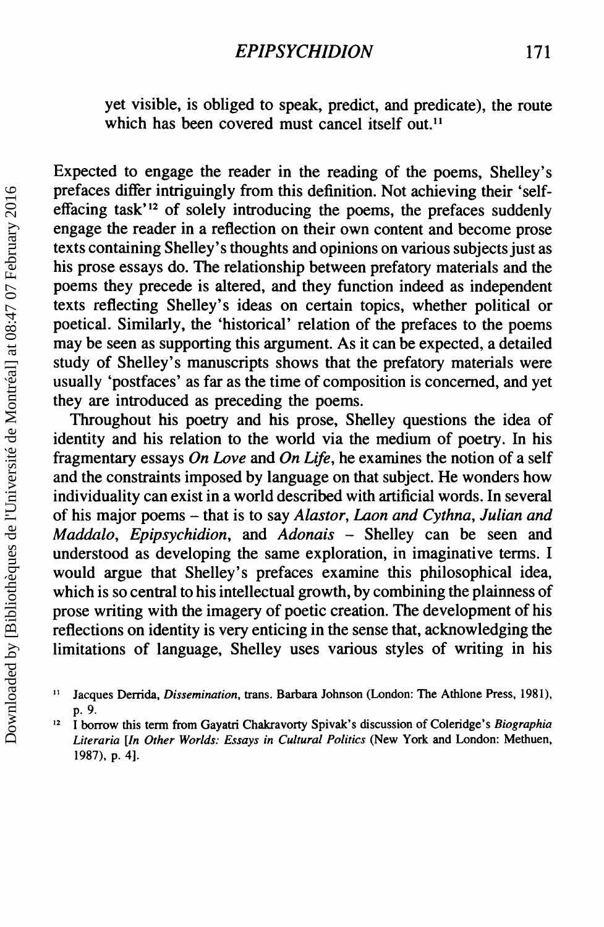yet visible, is obliged to speak, predict, and predicate), the route which has been covered must cancel itself out.<sup>11</sup>

Expected to engage the reader in the reading of the poems, Shelley's prefaces differ intriguingly from this definition. Not achieving their 'selfeffacing task'12 of solely introducing the poems, the prefaces suddenly engage the reader in a reflection on their own content and become prose texts containing Shelley's thoughts and opinions on various subjects just as his prose essays do. The relationship between prefatory materials and the poems they precede is altered, and they function indeed as independent texts reflecting Shelley's ideas on certain topics, whether political or poetical. Similarly, the 'historical' relation of the prefaces to the poems may be seen as supporting this argument. As it can be expected, a detailed study of Shelley's manuscripts shows that the prefatory materials were usually 'postfaces' as far as the time of composition is concerned, and yet they are introduced as preceding the poems.

Throughout his poetry and his prose, Shelley questions the idea of identity and his relation to the world via the medium of poetry. In his fragmentary essays *On Love* and *On Life,* he examines the notion of a self and the constraints imposed by language on that subject. He wonders how individuality can exist in a world described with artificial words. In several of his major poems - that is to say *Alastor, Laon and Cythna, Julian and Maddalo, Epipsychidion,* and *Adonais -* Shelley can be seen and understood as developing the same exploration, in imaginative terms. I would argue that Shelley's prefaces examine this philosophical idea, which is so central to his intellectual growth, by combining the plainness of prose writing with the imagery of poetic creation. The development of his reflections on identity is very enticing in the sense that, acknowledging the limitations of language, Shelley uses various styles of writing in his

II Jacques Derrida, *Dissemination,* trans. Barbara Johnson (London: The Athlone Press, 1981), p.9.

<sup>12</sup> I borrow this term from Gayatri Chakravorty Spivak's discussion of Coleridge's *Biographia Literaria [In Other Worlds: Essays in Cultural Politics* (New York and London: Methuen, 1987), p. 4].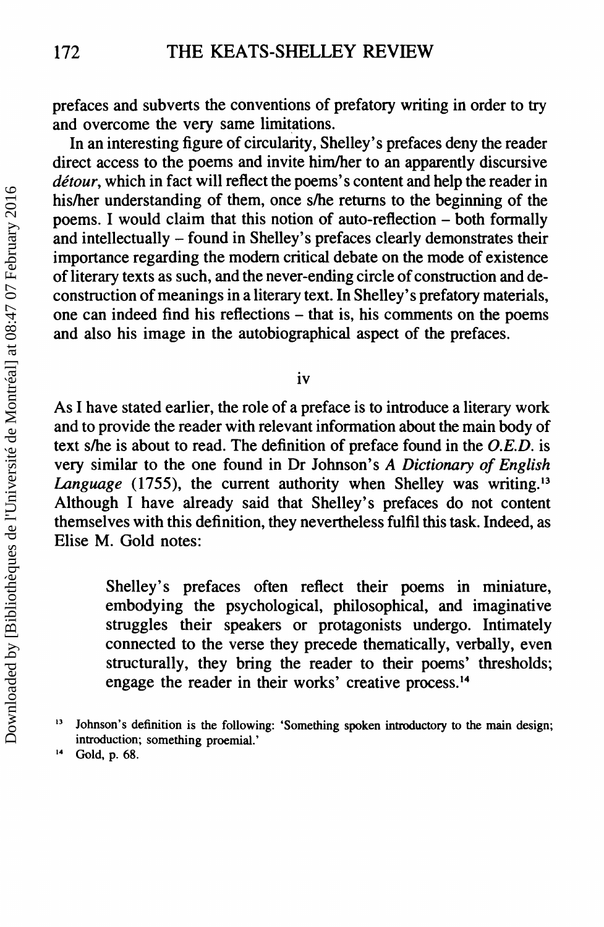prefaces and subverts the conventions of prefatory writing in order to try and overcome the very same limitations.

In an interesting figure of circularity, Shelley's prefaces deny the reader direct access to the poems and invite him/her to an apparently discursive *detour,* which in fact will reflect the poems's content and help the reader in his/her understanding of them, once s/he returns to the beginning of the poems. I would claim that this notion of auto-reflection - both formally and intellectually - found in Shelley's prefaces clearly demonstrates their importance regarding the modern critical debate on the mode of existence of literary texts as such, and the never-ending circle of construction and deconstruction of meanings in a literary text. In Shelley's prefatory materials, one can indeed find his reflections - that is, his comments on the poems and also his image in the autobiographical aspect of the prefaces.

iv

As I have stated earlier, the role of a preface is to introduce a literary work and to provide the reader with relevant information about the main body of text s/he is about to read. The definition of preface found in the *O.E.D.* is very similar to the one found in Dr Johnson's *A Dictionary of English Language* (1755), the current authority when Shelley was writing.<sup>13</sup> Although I have already said that Shelley's prefaces do not content themselves with this definition, they nevertheless fulfil this task. Indeed, as Elise M. Gold notes:

> Shelley's prefaces often reflect their poems in miniature, embodying the psychological, philosophical, and imaginative struggles their speakers or protagonists undergo. Intimately connected to the verse they precede thematically, verbally, even structurally, they bring the reader to their poems' thresholds; engage the reader in their works' creative process. <sup>14</sup>

<sup>13</sup> Johnson's definition is the following: 'Something spoken introductory to the main design; introduction; something proemial.'

<sup>14</sup> Gold, p. 68.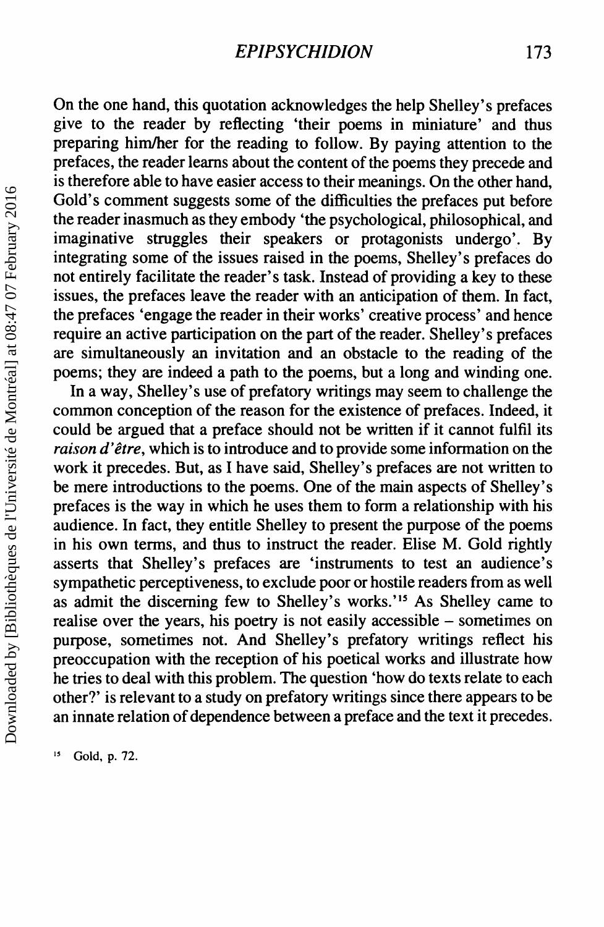On the one hand, this quotation acknowledges the help Shelley's prefaces give to the reader by reflecting 'their poems in miniature' and thus preparing him/her for the reading to follow. By paying attention to the prefaces, the reader learns about the content of the poems they precede and is therefore able to have easier access to their meanings. On the other hand, Gold's comment suggests some of the difficulties the prefaces put before the reader inasmuch as they embody 'the psychological, philosophical, and imaginative struggles their speakers or protagonists undergo'. By integrating some of the issues raised in the poems, Shelley's prefaces do not entirely facilitate the reader's task. Instead of providing a key to these issues, the prefaces leave the reader with an anticipation of them. In fact, the prefaces 'engage the reader in their works' creative process' and hence require an active participation on the part of the reader. Shelley's prefaces are simultaneously an invitation and an obstacle to the reading of the poems; they are indeed a path to the poems, but a long and winding one.

In away, Shelley's use of prefatory writings may seem to challenge the common conception of the reason for the existence of prefaces. Indeed, it could be argued that a preface should not be written if it cannot fulfil its *raison d'être*, which is to introduce and to provide some information on the work it precedes. But, as I have said, Shelley's prefaces are not written to be mere introductions to the poems. One of the main aspects of Shelley's prefaces is the way in which he uses them to form a relationship with his audience. In fact, they entitle Shelley to present the purpose of the poems in his own terms, and thus to instruct the reader. Elise M. Gold rightly asserts that Shelley's prefaces are 'instruments to test an audience's sympathetic perceptiveness, to exclude poor or hostile readers from as well as admit the discerning few to Shelley's works.'<sup>15</sup> As Shelley came to realise over the years, his poetry is not easily accessible - sometimes on purpose, sometimes not. And Shelley's prefatory writings reflect his preoccupation with the reception of his poetical works and illustrate how he tries to deal with this problem. The question 'how do texts relate to each other?' is relevant to a study on prefatory writings since there appears to be an innate relation of dependence between a preface and the text it precedes.

Gold, p. 72.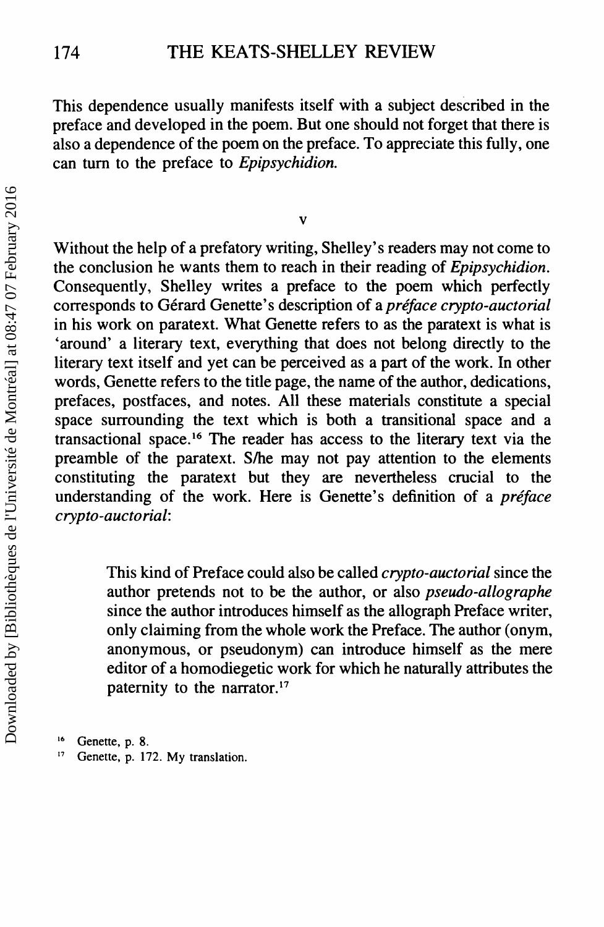This dependence usually manifests itself with a subject described in the preface and developed in the poem. But one should not forget that there is also a dependence of the poem on the preface. To appreciate this fully, one can tum to the preface to *Epipsychidion.*

Without the help of a prefatory writing, Shelley's readers may not come to the conclusion he wants them to reach in their reading of *Epipsychidion.* Consequently, Shelley writes a preface to the poem which perfectly corresponds to Gerard Genette' s description of a *preface crypto-auctorial* in his work on paratext. What Genette refers to as the paratext is what is 'around' a literary text, everything that does not belong directly to the literary text itself and yet can be perceived as a part of the work. In other words, Genette refers to the title page, the name of the author, dedications, prefaces, postfaces, and notes. All these materials constitute a special space surrounding the text which is both a transitional space and a transactional space.<sup>16</sup> The reader has access to the literary text via the preamble of the paratext. S/he may not pay attention to the elements constituting the paratext but they are nevertheless crucial to the understanding of the work. Here is Genette's definition of a *préface crypto-auctorial:*

> This kind of Preface could also be called *crypto-auctorial* since the author pretends not to be the author, or also *pseudo-allographe* since the author introduces himself as the allograph Preface writer, only claiming from the whole work the Preface. The author (onym, anonymous, or pseudonym) can introduce himself as the mere editor of a homodiegetic work for which he naturally attributes the paternity to the narrator.<sup>17</sup>

- Genette, p. 8.
- <sup>17</sup> Genette, p. 172. My translation.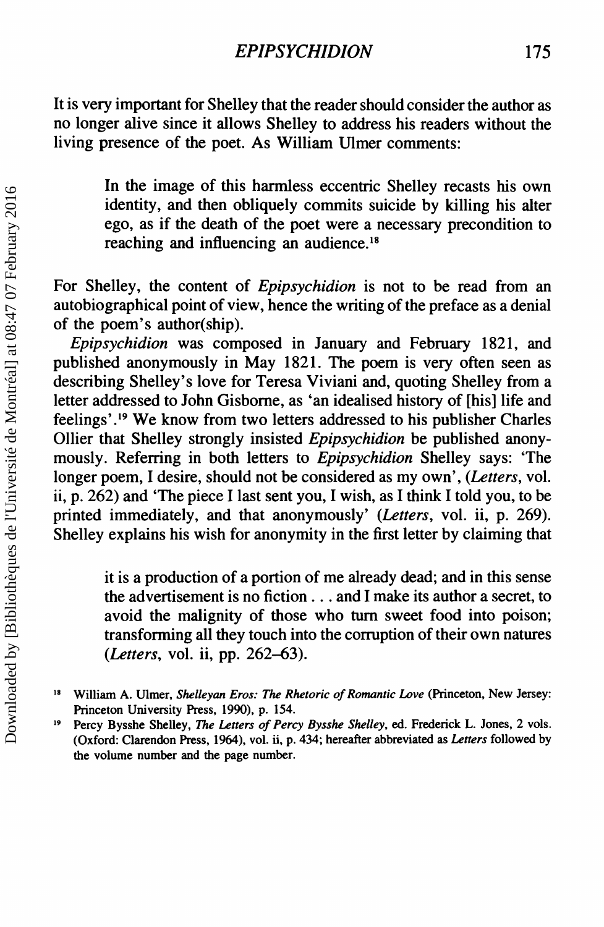It is very important for Shelley that the reader should consider the author as no longer alive since it allows Shelley to address his readers without the living presence of the poet. As William Ulmer comments:

> In the image of this harmless eccentric Shelley recasts his own identity, and then obliquely commits suicide by killing his alter ego, as if the death of the poet were a necessary precondition to reaching and influencing an audience.<sup>18</sup>

For Shelley, the content of *Epipsychidion* is not to be read from an autobiographical point of view, hence the writing of the preface as a denial of the poem's author(ship).

*Epipsychidion* was composed in January and February 1821, and published anonymously in May 1821. The poem is very often seen as describing Shelley's love for Teresa Viviani and, quoting Shelley from a letter addressed to John Gisbome, as 'an idealised history of [his] life and feelings' .19 We know from two letters addressed to his publisher Charles Ollier that Shelley strongly insisted *Epipsychidion* be published anonymously. Referring in both letters to *Epipsychidion* Shelley says: 'The longer poem, I desire, should not be considered as my own', *(Letters,* vol. ii, p. 262) and 'The piece I last sent you, I wish, as I think I told you, to be printed immediately, and that anonymously' *(Letters,* vol. ii, p. 269). Shelley explains his wish for anonymity in the first letter by claiming that

> it is a production of a portion of me already dead; and in this sense the advertisement is no fiction ... and I make its author a secret, to avoid the malignity of those who tum sweet food into poison; transforming all they touch into the corruption of their own natures *(Letters,* vol. ii, pp. 262-63).

<sup>18</sup> William A. Ulmer, *Shelleyan Eros: The Rhetoric of Romantic Love* (Princeton, New Jersey: Princeton University Press, 1990), p. 154.

<sup>19</sup> Percy Bysshe Shelley, *The Letters of Percy Bysshe Shelley,* ed. Frederick L. Jones, 2 vols. (Oxford: Clarendon Press, 1964), vol. ii, p. 434; hereafter abbreviated as *Letters* followed by the volume number and the page number.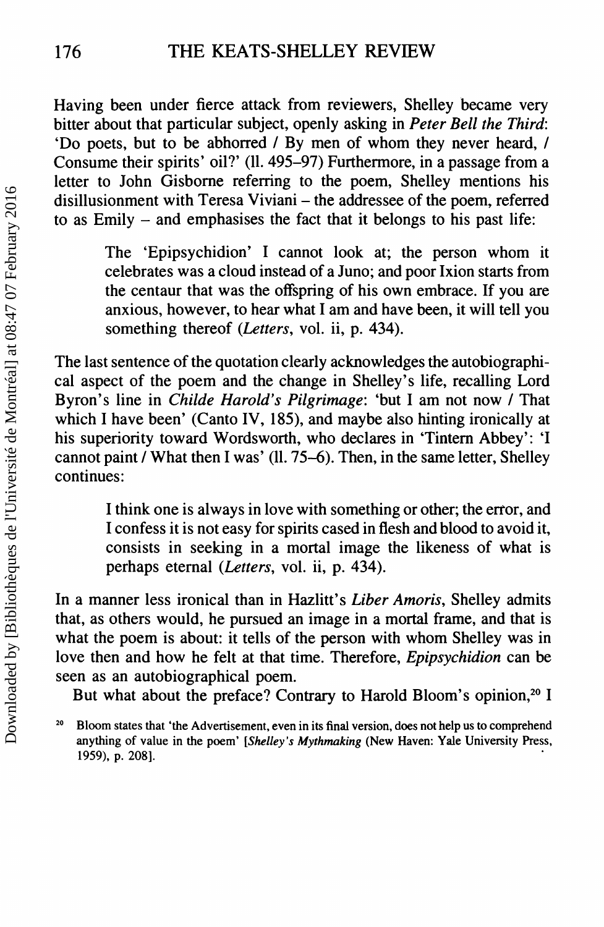Having been under fierce attack from reviewers, Shelley became very bitter about that particular subject, openly asking in *Peter Bell the Third:* 'Do poets, but to be abhorred / By men of whom they never heard, / Consume their spirits' oil?' (11.495-97) Furthermore, in a passage from a letter to John Gisborne referring to the poem, Shelley mentions his disillusionment with Teresa Viviani – the addressee of the poem, referred to as Emily - and emphasises the fact that it belongs to his past life:

> The 'Epipsychidion' I cannot look at; the person whom it celebrates was a cloud instead of a Juno; and poor Ixion starts from the centaur that was the offspring of his own embrace. If you are anxious, however, to hear what I am and have been, it will tell you something thereof *(Letters,* vol. ii, p. 434).

The last sentence of the quotation clearly acknowledges the autobiographical aspect of the poem and the change in Shelley's life, recalling Lord Byron's line in *Childe Harold's Pilgrimage:* 'but I am not now / That which I have been' (Canto IV, 185), and maybe also hinting ironically at his superiority toward Wordsworth, who declares in 'Tintern Abbey': 'I cannot paint / What then I was' (11.75-6). Then, in the same letter, Shelley continues:

> I think one is always in love with something or other; the error, and I confess it is not easy for spirits cased in flesh and blood to avoid it, consists in seeking in a mortal image the likeness of what is perhaps eternal *(Letters,* vol. ii, p. 434).

In a manner less ironical than in Hazlitt's *Liber Amoris,* Shelley admits that, as others would, he pursued an image in a mortal frame, and that is what the poem is about: it tells of the person with whom Shelley was in love then and how he felt at that time. Therefore, *Epipsychidion* can be seen as an autobiographical poem.

But what about the preface? Contrary to Harold Bloom's opinion,<sup>20</sup> I

<sup>&</sup>lt;sup>20</sup> Bloom states that 'the Advertisement, even in its final version, does not help us to comprehend anything of value in the poem' *[Shelley's Mythmaking* (New Haven: Yale University Press, 1959), p. 208]. .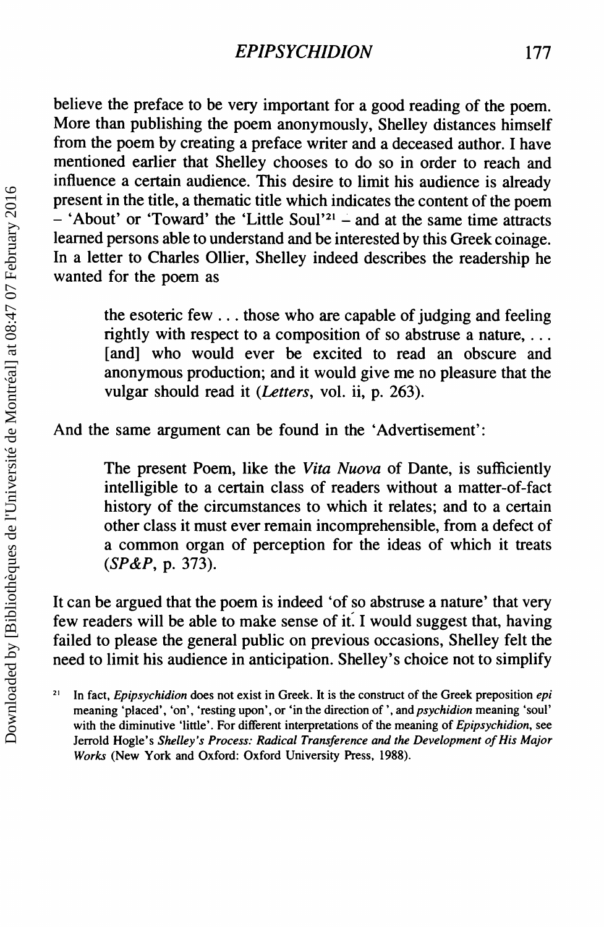believe the preface to be very important for a good reading of the poem. More than publishing the poem anonymously, Shelley distances himself from the poem by creating a preface writer and a deceased author. I have mentioned earlier that Shelley chooses to do so in order to reach and influence a certain audience. This desire to limit his audience is already present in the title, a thematic title which indicates the content of the poem  $-$  'About' or 'Toward' the 'Little Soul'<sup>21</sup> – and at the same time attracts learned persons able to understand and be interested by this Greek coinage. In a letter to Charles Oilier, Shelley indeed describes the readership he wanted for the poem as

> the esoteric few ... those who are capable of judging and feeling rightly with respect to a composition of so abstruse a nature, ... [and] who would ever be excited to read an obscure and anonymous production; and it would give me no pleasure that the vulgar should read it *(Letters,* vol. ii, p. 263).

And the same argument can be found in the 'Advertisement':

The present Poem, like the *Vita Nuova* of Dante, is sufficiently intelligible to a certain class of readers without a matter-of-fact history of the circumstances to which it relates; and to a certain other class it must ever remain incomprehensible, from a defect of a common organ of perception for the ideas of which it treats *(SP&P,* p. 373).

It can be argued that the poem is indeed 'of so abstruse a nature' that very few readers will be able to make sense of it. I would suggest that, having failed to please the general public on previous occasions, Shelley felt the need to limit his audience in anticipation. Shelley's choice not to simplify

<sup>21</sup> In fact, *Epipsychidion* does not exist in Greek. It is the construct of the Greek preposition *epi* meaning 'placed', 'on', 'resting upon', or 'in the direction of " and *psychidion* meaning 'soul' with the diminutive 'little'. For different interpretations of the meaning of *Epipsychidion,* see Jerrold Hogle's *Shelley's Process: Radical Transference and the Development of His Major Works* (New York and Oxford: Oxford University Press, 1988).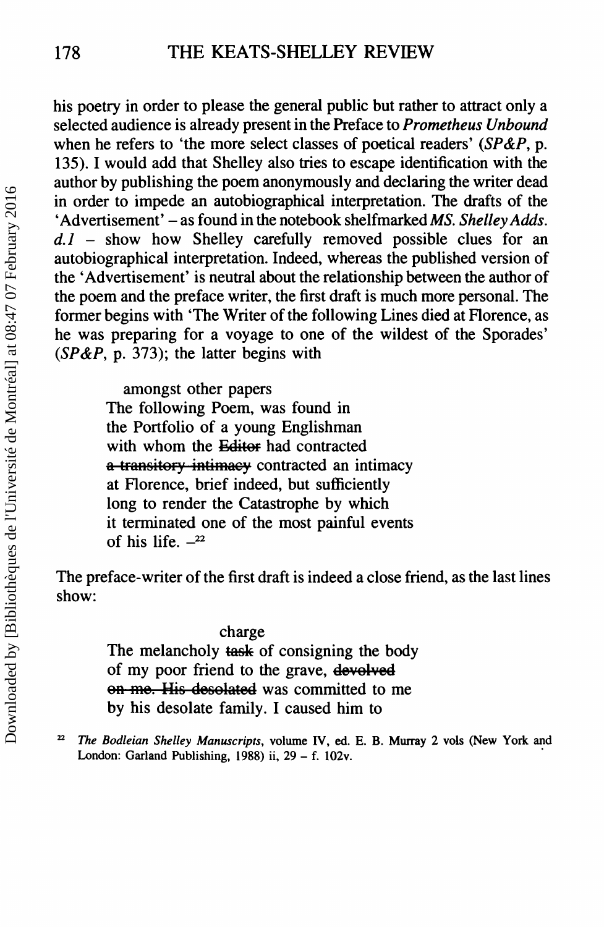his poetry in order to please the general public but rather to attract only a selected audience is already present in the Preface to *Prometheus Unbound* when he refers to 'the more select classes of poetical readers' *(SP&P,* p. 135). I would add that Shelley also tries to escape identification with the author by publishing the poem anonymously and declaring the writer dead in order to impede an autobiographical interpretation. The drafts of the 'Advertisement' - as found in the notebook shelfmarked *MS. Shelley Adds. d.l -* show how Shelley carefully removed possible clues for an autobiographical interpretation. Indeed, whereas the published version of the 'Advertisement' is neutral about the relationship between the author of the poem and the preface writer, the first draft is much more personal. The former begins with 'The Writer of the following Lines died at Florence, as he was preparing for a voyage to one of the wildest of the Sporades' *(SP&P,* p. 373); the latter begins with

amongst other papers

The following Poem, was found in the Portfolio of a young Englishman with whom the Editor had contracted a transitory intimacy contracted an intimacy at Florence, brief indeed, but sufficiently long to render the Catastrophe by which it terminated one of the most painful events of his life.  $-22$ 

The preface-writer of the first draft is indeed a close friend, as the last lines show:

## charge

The melancholy **task** of consigning the body of my poor friend to the grave, devolved on me. His desolated was committed to me by his desolate family. I caused him to

<sup>22</sup> *The Bodleian Shelley Manuscripts,* volume IV, ed. E. B. Murray 2 vols (New York and London: Garland Publishing, 1988) ii,  $29 - f$ . 102v.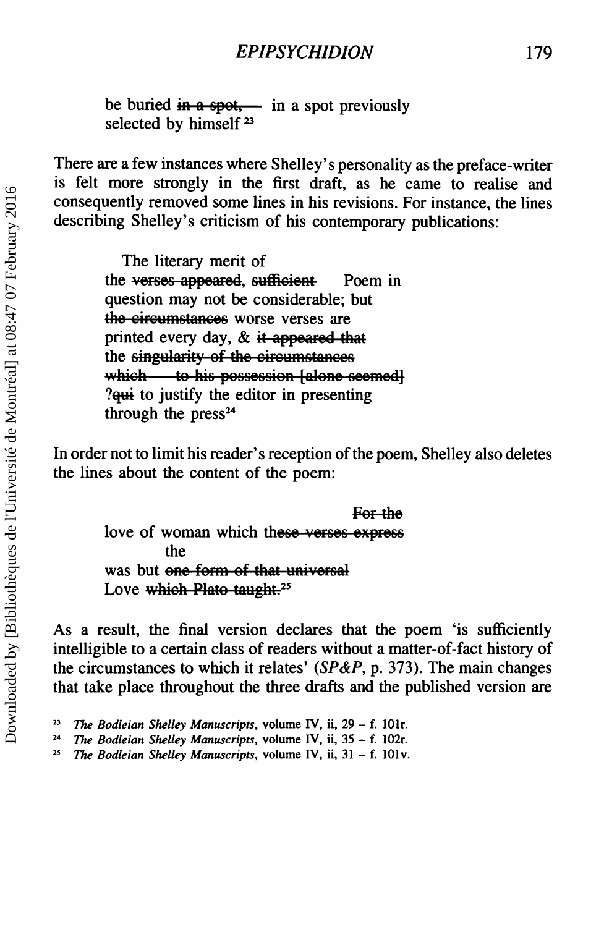be buried in a spot, in a spot previously selected by himself<sup>23</sup>

There are a few instances where Shelley's personality as the preface-writer is felt more strongly in the first draft, as he came to realise and consequently removed some lines in his revisions. For instance, the lines describing Shelley's criticism of his contemporary publications:

> The literary merit of the verses appeared, sufficient Poem in question may not be considerable; but the circumstances worse verses are printed every day,  $\&$  it appeared that the singularity of the circumstances which ---- to his possession [alone seemed]  $?$ <del>qui</del> to justify the editor in presenting through the  $press<sup>24</sup>$

In order not to limit his reader's reception of the poem, Shelley also deletes the lines about the content of the poem:

> For the love of woman which these verses express the was but one form of that universal Love which Plato taught.<sup>25</sup>

As a result, the final version declares that the poem 'is sufficiently intelligible to a certain class of readers without a matter-of-fact history of the circumstances to which it relates' *(SP&P,* p. 373). The main changes that take place throughout the three drafts and the published version are

*<sup>23</sup> The Bodleian Shelley Manuscripts,* volume IV, ii, 29 - f. IOlr.

*<sup>24</sup> The Bodleian Shelley Manuscripts,* volume IV, ii, 35 - f. I02r.

<sup>2</sup>S *The Bodleian Shelley Manuscripts,* volume IV, ii, 31 - f. IOlv.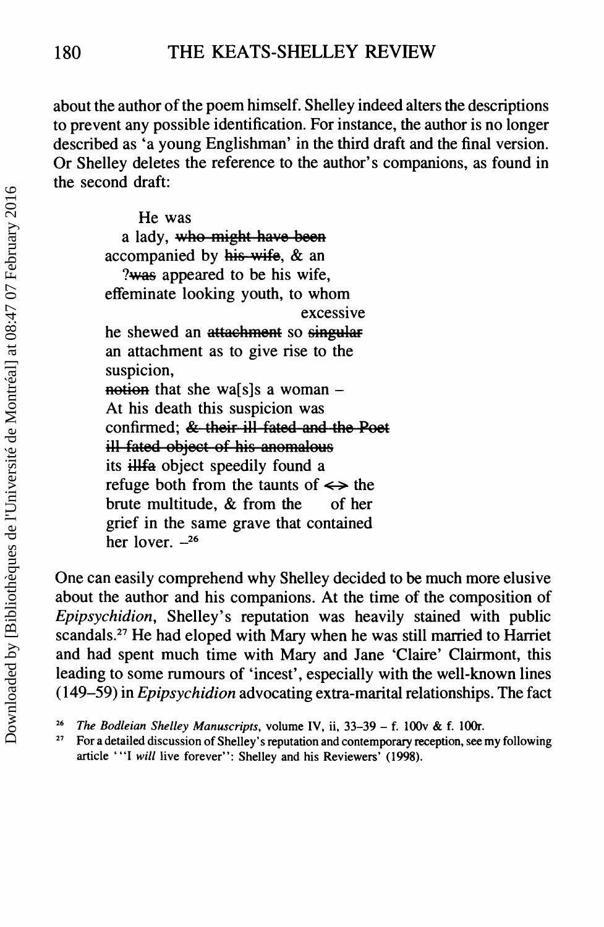about the author of the poem himself. Shelley indeed alters the descriptions to prevent any possible identification. For instance, the author is no longer described as 'a young Englishman' in the third draft and the final version. Or Shelley deletes the reference to the author's companions, as found in the second draft:

> He was a lady, who might have been accompanied by  $his$  wife,  $&$  an ?was appeared to be his wife. effeminate looking youth, to whom excessive he shewed an attachment so singular an attachment as to give rise to the suspicion, notion that she wa[s]s a woman  $-$ At his death this suspicion was confirmed; & their ill fated and the Poet ill fated object of his anomalous its illfa object speedily found a refuge both from the taunts of  $\leftrightarrow$  the brute multitude, & from the of her grief in the same grave that contained her lover.  $-26$

One can easily comprehend why Shelley decided to be much more elusive about the author and his companions. At the time of the composition of *Epipsychidion,* Shelley's reputation was heavily stained with public scandals.<sup>27</sup> He had eloped with Mary when he was still married to Harriet and had spent much time with Mary and Jane 'Claire' Clairmont, this leading to some rumours of 'incest', especially with the well-known lines (149-59) in *Epipsychidion* advocating extra-marital relationships. The fact

<sup>&</sup>lt;sup>26</sup> *The Bodleian Shelley Manuscripts*, volume IV, ii, 33-39 - f. 100v & f. 100r.

<sup>27</sup> For a detailed discussion of Shelley's reputation and contemporary reception, see my following article "'I will live forever": Shelley and his Reviewers' (1998).